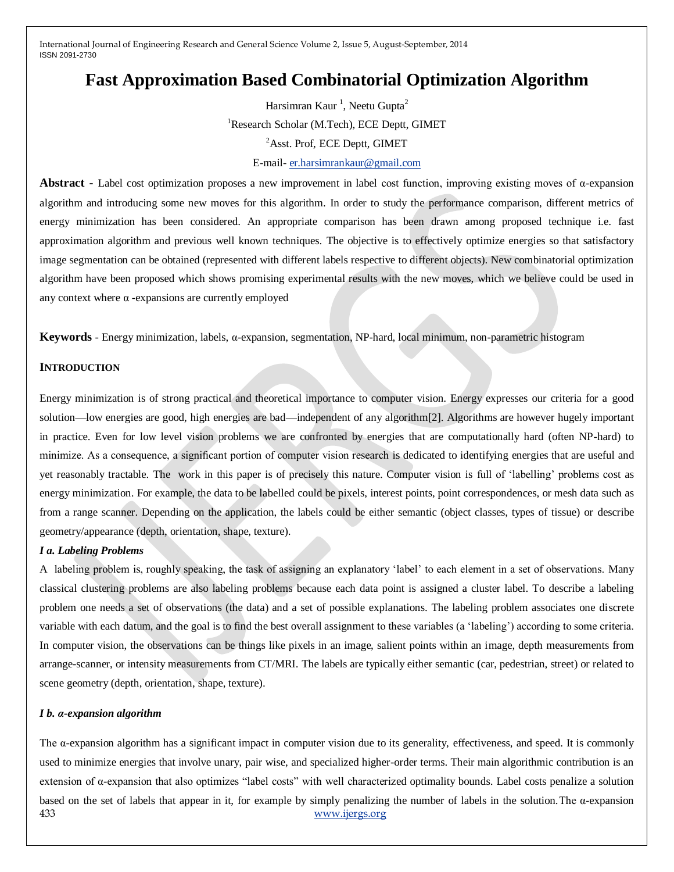# **Fast Approximation Based Combinatorial Optimization Algorithm**

Harsimran Kaur<sup>1</sup>, Neetu Gupta<sup>2</sup> <sup>1</sup>Research Scholar (M.Tech), ECE Deptt, GIMET <sup>2</sup>Asst. Prof, ECE Deptt, GIMET E-mail- [er.harsimrankaur@gmail.com](mailto:er.harsimrankaur@gmail.com)

**Abstract -** Label cost optimization proposes a new improvement in label cost function, improving existing moves of α-expansion algorithm and introducing some new moves for this algorithm. In order to study the performance comparison, different metrics of energy minimization has been considered. An appropriate comparison has been drawn among proposed technique i.e. fast approximation algorithm and previous well known techniques. The objective is to effectively optimize energies so that satisfactory image segmentation can be obtained (represented with different labels respective to different objects). New combinatorial optimization algorithm have been proposed which shows promising experimental results with the new moves, which we believe could be used in any context where  $\alpha$  -expansions are currently employed

**Keywords** *-* Energy minimization, labels, α-expansion, segmentation, NP-hard, local minimum, non-parametric histogram

#### **INTRODUCTION**

Energy minimization is of strong practical and theoretical importance to computer vision. Energy expresses our criteria for a good solution—low energies are good, high energies are bad—independent of any algorithm[2]. Algorithms are however hugely important in practice. Even for low level vision problems we are confronted by energies that are computationally hard (often NP-hard) to minimize. As a consequence, a significant portion of computer vision research is dedicated to identifying energies that are useful and yet reasonably tractable. The work in this paper is of precisely this nature. Computer vision is full of ‗labelling' problems cost as energy minimization. For example, the data to be labelled could be pixels, interest points, point correspondences, or mesh data such as from a range scanner. Depending on the application, the labels could be either semantic (object classes, types of tissue) or describe geometry/appearance (depth, orientation, shape, texture).

# *I a. Labeling Problems*

A labeling problem is, roughly speaking, the task of assigning an explanatory 'label' to each element in a set of observations. Many classical clustering problems are also labeling problems because each data point is assigned a cluster label. To describe a labeling problem one needs a set of observations (the data) and a set of possible explanations. The labeling problem associates one discrete variable with each datum, and the goal is to find the best overall assignment to these variables (a ‗labeling') according to some criteria. In computer vision, the observations can be things like pixels in an image, salient points within an image, depth measurements from arrange-scanner, or intensity measurements from CT/MRI. The labels are typically either semantic (car, pedestrian, street) or related to scene geometry (depth, orientation, shape, texture).

#### *I b. α-expansion algorithm*

433 [www.ijergs.org](http://www.ijergs.org/) The α-expansion algorithm has a significant impact in computer vision due to its generality, effectiveness, and speed. It is commonly used to minimize energies that involve unary, pair wise, and specialized higher-order terms. Their main algorithmic contribution is an extension of  $\alpha$ -expansion that also optimizes "label costs" with well characterized optimality bounds. Label costs penalize a solution based on the set of labels that appear in it, for example by simply penalizing the number of labels in the solution.The α-expansion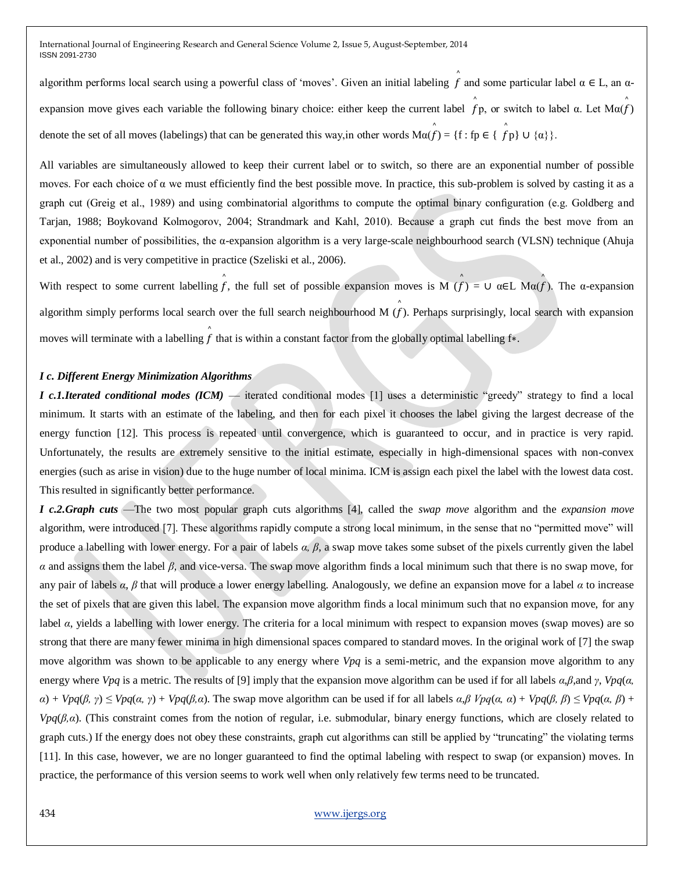algorithm performs local search using a powerful class of 'moves'. Given an initial labeling  $\hat{f}$  and some particular label  $\alpha \in L$ , an  $\alpha$ expansion move gives each variable the following binary choice: either keep the current label  $\hat{f}$ p, or switch to label  $\alpha$ . Let M $\alpha(\hat{f})$ denote the set of all moves (labelings) that can be generated this way, in other words  $\text{Ma}(f) = \{f : fp \in \{p\} \cup \{a\}\}.$ 

All variables are simultaneously allowed to keep their current label or to switch, so there are an exponential number of possible moves. For each choice of  $\alpha$  we must efficiently find the best possible move. In practice, this sub-problem is solved by casting it as a graph cut (Greig et al., 1989) and using combinatorial algorithms to compute the optimal binary configuration (e.g. Goldberg and Tarjan, 1988; Boykovand Kolmogorov, 2004; Strandmark and Kahl, 2010). Because a graph cut finds the best move from an exponential number of possibilities, the α-expansion algorithm is a very large-scale neighbourhood search (VLSN) technique (Ahuja et al., 2002) and is very competitive in practice (Szeliski et al., 2006).

With respect to some current labelling f, the full set of possible expansion moves is M  $(\hat{f}) = U$   $\alpha \in L$  M $\alpha(\hat{f})$ . The  $\alpha$ -expansion algorithm simply performs local search over the full search neighbourhood M  $(f)$ . Perhaps surprisingly, local search with expansion moves will terminate with a labelling  $\hat{f}$  that is within a constant factor from the globally optimal labelling f\*.

#### *I c. Different Energy Minimization Algorithms*

*I c.1.Iterated conditional modes (ICM)* — iterated conditional modes [1] uses a deterministic "greedy" strategy to find a local minimum. It starts with an estimate of the labeling, and then for each pixel it chooses the label giving the largest decrease of the energy function [12]. This process is repeated until convergence, which is guaranteed to occur, and in practice is very rapid. Unfortunately, the results are extremely sensitive to the initial estimate, especially in high-dimensional spaces with non-convex energies (such as arise in vision) due to the huge number of local minima. ICM is assign each pixel the label with the lowest data cost. This resulted in significantly better performance.

*I c.2.Graph cuts* —The two most popular graph cuts algorithms [4], called the *swap move* algorithm and the *expansion move*  algorithm, were introduced [7]. These algorithms rapidly compute a strong local minimum, in the sense that no "permitted move" will produce a labelling with lower energy. For a pair of labels *α, β*, a swap move takes some subset of the pixels currently given the label *α* and assigns them the label *β*, and vice-versa. The swap move algorithm finds a local minimum such that there is no swap move, for any pair of labels *α*, *β* that will produce a lower energy labelling. Analogously, we define an expansion move for a label *α* to increase the set of pixels that are given this label. The expansion move algorithm finds a local minimum such that no expansion move, for any label *α*, yields a labelling with lower energy. The criteria for a local minimum with respect to expansion moves (swap moves) are so strong that there are many fewer minima in high dimensional spaces compared to standard moves. In the original work of [7] the swap move algorithm was shown to be applicable to any energy where *Vpq* is a semi-metric, and the expansion move algorithm to any energy where *Vpq* is a metric. The results of [9] imply that the expansion move algorithm can be used if for all labels *α*,*β*,and *γ*, *Vpq*(*α,*   $\alpha$ ) + Vpq( $\beta$ ,  $\gamma$ )  $\leq$  Vpq( $\alpha$ ,  $\gamma$ ) + Vpq( $\beta$ , $\alpha$ ). The swap move algorithm can be used if for all labels  $\alpha$ ,  $\beta$  Vpq( $\alpha$ ,  $\alpha$ ) + Vpq( $\beta$ ,  $\beta$ )  $\leq$  Vpq( $\alpha$ ,  $\beta$ ) + *Vpq*(*β,α*). (This constraint comes from the notion of regular, i.e. submodular, binary energy functions, which are closely related to graph cuts.) If the energy does not obey these constraints, graph cut algorithms can still be applied by "truncating" the violating terms [11]. In this case, however, we are no longer guaranteed to find the optimal labeling with respect to swap (or expansion) moves. In practice, the performance of this version seems to work well when only relatively few terms need to be truncated.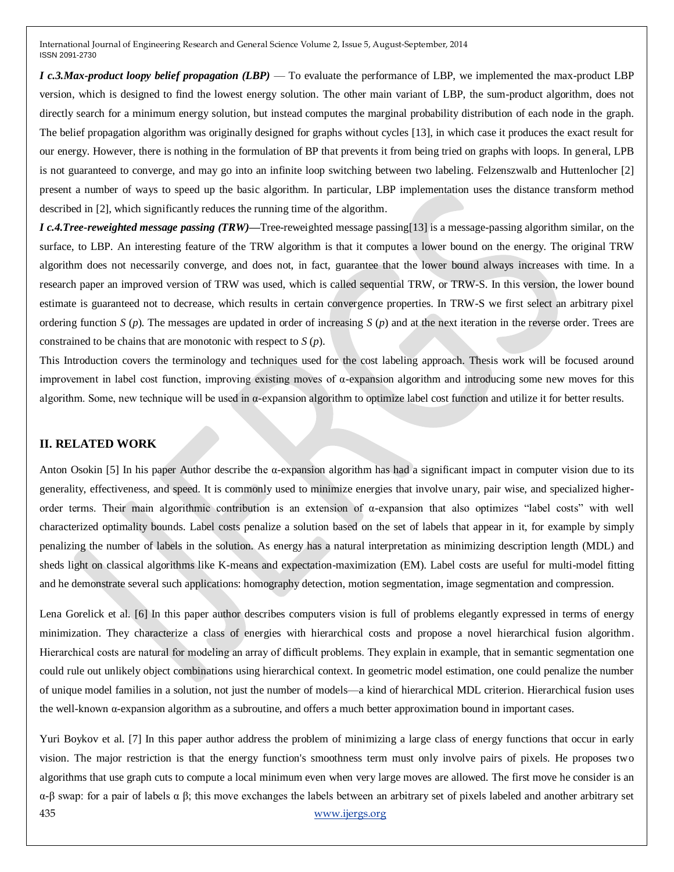*I c.3.Max-product loopy belief propagation (LBP)* — To evaluate the performance of LBP, we implemented the max-product LBP version, which is designed to find the lowest energy solution. The other main variant of LBP, the sum-product algorithm, does not directly search for a minimum energy solution, but instead computes the marginal probability distribution of each node in the graph. The belief propagation algorithm was originally designed for graphs without cycles [13], in which case it produces the exact result for our energy. However, there is nothing in the formulation of BP that prevents it from being tried on graphs with loops. In general, LPB is not guaranteed to converge, and may go into an infinite loop switching between two labeling. Felzenszwalb and Huttenlocher [2] present a number of ways to speed up the basic algorithm. In particular, LBP implementation uses the distance transform method described in [2], which significantly reduces the running time of the algorithm.

*I c.4.Tree-reweighted message passing (TRW)—*Tree-reweighted message passing[13] is a message-passing algorithm similar, on the surface, to LBP. An interesting feature of the TRW algorithm is that it computes a lower bound on the energy. The original TRW algorithm does not necessarily converge, and does not, in fact, guarantee that the lower bound always increases with time. In a research paper an improved version of TRW was used, which is called sequential TRW, or TRW-S. In this version, the lower bound estimate is guaranteed not to decrease, which results in certain convergence properties. In TRW-S we first select an arbitrary pixel ordering function *S* (*p*). The messages are updated in order of increasing *S* (*p*) and at the next iteration in the reverse order. Trees are constrained to be chains that are monotonic with respect to *S* (*p*).

This Introduction covers the terminology and techniques used for the cost labeling approach. Thesis work will be focused around improvement in label cost function, improving existing moves of α-expansion algorithm and introducing some new moves for this algorithm. Some, new technique will be used in  $\alpha$ -expansion algorithm to optimize label cost function and utilize it for better results.

## **II. RELATED WORK**

Anton Osokin [5] In his paper Author describe the  $\alpha$ -expansion algorithm has had a significant impact in computer vision due to its generality, effectiveness, and speed. It is commonly used to minimize energies that involve unary, pair wise, and specialized higherorder terms. Their main algorithmic contribution is an extension of α-expansion that also optimizes "label costs" with well characterized optimality bounds. Label costs penalize a solution based on the set of labels that appear in it, for example by simply penalizing the number of labels in the solution. As energy has a natural interpretation as minimizing description length (MDL) and sheds light on classical algorithms like K-means and expectation-maximization (EM). Label costs are useful for multi-model fitting and he demonstrate several such applications: homography detection, motion segmentation, image segmentation and compression.

Lena Gorelick et al. [6] In this paper author describes computers vision is full of problems elegantly expressed in terms of energy minimization. They characterize a class of energies with hierarchical costs and propose a novel hierarchical fusion algorithm. Hierarchical costs are natural for modeling an array of difficult problems. They explain in example, that in semantic segmentation one could rule out unlikely object combinations using hierarchical context. In geometric model estimation, one could penalize the number of unique model families in a solution, not just the number of models—a kind of hierarchical MDL criterion. Hierarchical fusion uses the well-known α-expansion algorithm as a subroutine, and offers a much better approximation bound in important cases.

435 [www.ijergs.org](http://www.ijergs.org/) Yuri Boykov et al. [7] In this paper author address the problem of minimizing a large class of energy functions that occur in early vision. The major restriction is that the energy function's smoothness term must only involve pairs of pixels. He proposes two algorithms that use graph cuts to compute a local minimum even when very large moves are allowed. The first move he consider is an α-β swap: for a pair of labels α β; this move exchanges the labels between an arbitrary set of pixels labeled and another arbitrary set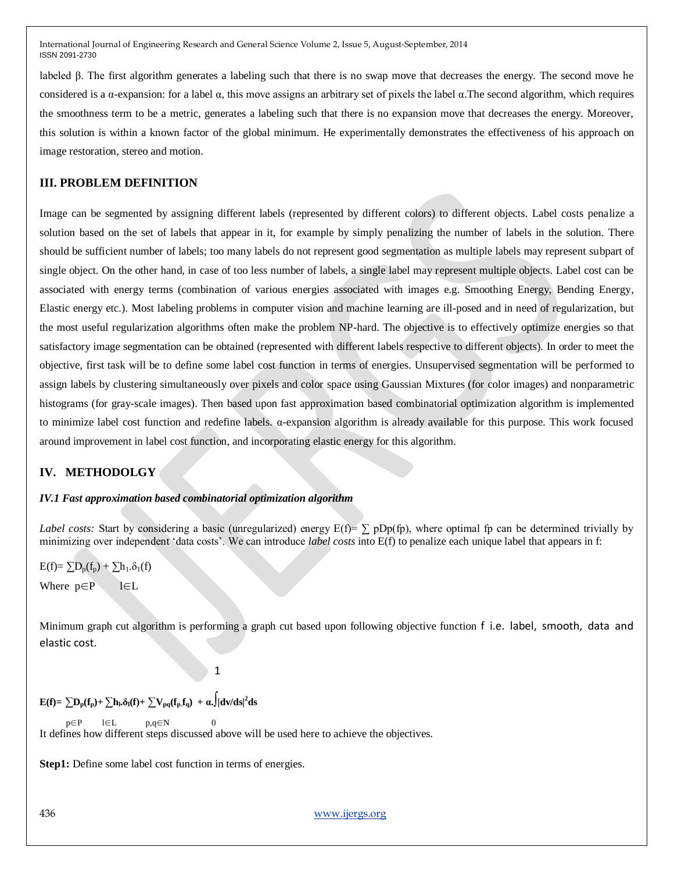labeled β. The first algorithm generates a labeling such that there is no swap move that decreases the energy. The second move he considered is a α-expansion: for a label α, this move assigns an arbitrary set of pixels the label α.The second algorithm, which requires the smoothness term to be a metric, generates a labeling such that there is no expansion move that decreases the energy. Moreover, this solution is within a known factor of the global minimum. He experimentally demonstrates the effectiveness of his approach on image restoration, stereo and motion.

# **III. PROBLEM DEFINITION**

Image can be segmented by assigning different labels (represented by different colors) to different objects. Label costs penalize a solution based on the set of labels that appear in it, for example by simply penalizing the number of labels in the solution. There should be sufficient number of labels; too many labels do not represent good segmentation as multiple labels may represent subpart of single object. On the other hand, in case of too less number of labels, a single label may represent multiple objects. Label cost can be associated with energy terms (combination of various energies associated with images e.g. Smoothing Energy, Bending Energy, Elastic energy etc.). Most labeling problems in computer vision and machine learning are ill-posed and in need of regularization, but the most useful regularization algorithms often make the problem NP-hard. The objective is to effectively optimize energies so that satisfactory image segmentation can be obtained (represented with different labels respective to different objects). In order to meet the objective, first task will be to define some label cost function in terms of energies. Unsupervised segmentation will be performed to assign labels by clustering simultaneously over pixels and color space using Gaussian Mixtures (for color images) and nonparametric histograms (for gray-scale images). Then based upon fast approximation based combinatorial optimization algorithm is implemented to minimize label cost function and redefine labels. α-expansion algorithm is already available for this purpose. This work focused around improvement in label cost function, and incorporating elastic energy for this algorithm.

# **IV. METHODOLGY**

#### *IV.1 Fast approximation based combinatorial optimization algorithm*

*Label costs:* Start by considering a basic (unregularized) energy  $E(f) = \sum pDp(fp)$ , where optimal fp can be determined trivially by minimizing over independent 'data costs'. We can introduce *label costs* into E(f) to penalize each unique label that appears in f:

 $E(f) = \sum D_p(f_p) + \sum h_1.\delta_1(f)$ 

Where  $p \in P$  l∈L

Minimum graph cut algorithm is performing a graph cut based upon following objective function f i.e. label, smooth, data and elastic cost.

1

 $\mathbf{E}(\mathbf{f}) = \sum \mathbf{D}_{\mathbf{p}}(\mathbf{f}_{\mathbf{p}}) + \sum \mathbf{h}_{\mathbf{l}}.\delta_{\mathbf{l}}(\mathbf{f}) + \sum \mathbf{V}_{\mathbf{p}\mathbf{q}}(\mathbf{f}_{\mathbf{p}}.\mathbf{f}_{\mathbf{q}}) + \alpha.\mathbf{1}|\mathbf{d}\mathbf{v}/\mathbf{ds}|^2 \mathbf{ds}$ 

 p∈P l∈L p,q∈N 0 It defines how different steps discussed above will be used here to achieve the objectives.

**Step1:** Define some label cost function in terms of energies.

436 [www.ijergs.org](http://www.ijergs.org/)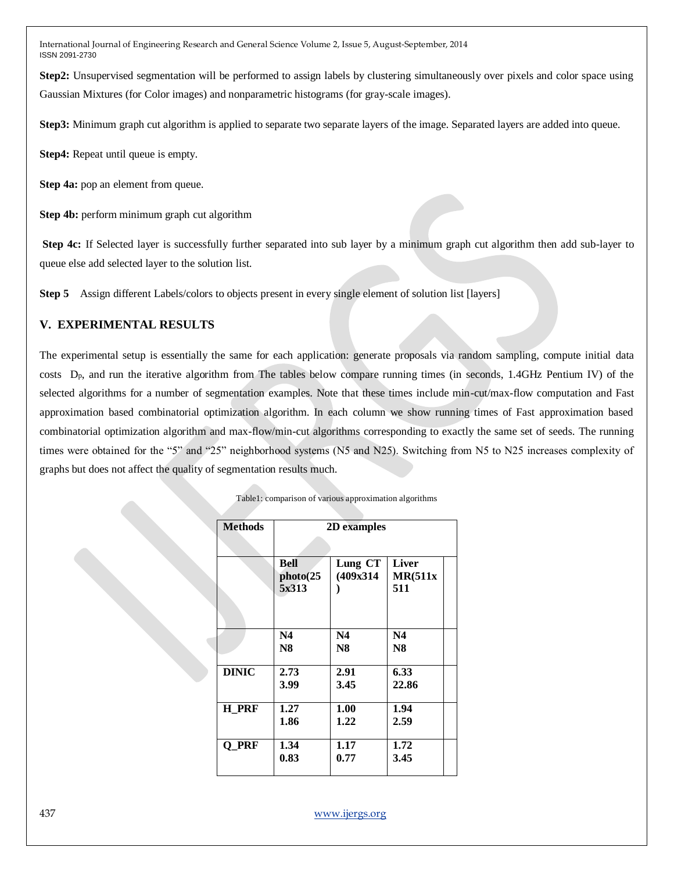**Step2:** Unsupervised segmentation will be performed to assign labels by clustering simultaneously over pixels and color space using Gaussian Mixtures (for Color images) and nonparametric histograms (for gray-scale images).

**Step3:** Minimum graph cut algorithm is applied to separate two separate layers of the image. Separated layers are added into queue.

**Step4:** Repeat until queue is empty.

**Step 4a:** pop an element from queue.

**Step 4b:** perform minimum graph cut algorithm

**Step 4c:** If Selected layer is successfully further separated into sub layer by a minimum graph cut algorithm then add sub-layer to queue else add selected layer to the solution list.

**Step 5** Assign different Labels/colors to objects present in every single element of solution list [layers]

## **V. EXPERIMENTAL RESULTS**

The experimental setup is essentially the same for each application: generate proposals via random sampling, compute initial data costs Dp, and run the iterative algorithm from The tables below compare running times (in seconds, 1.4GHz Pentium IV) of the selected algorithms for a number of segmentation examples. Note that these times include min-cut/max-flow computation and Fast approximation based combinatorial optimization algorithm. In each column we show running times of Fast approximation based combinatorial optimization algorithm and max-flow/min-cut algorithms corresponding to exactly the same set of seeds. The running times were obtained for the "5" and "25" neighborhood systems (N5 and N25). Switching from N5 to N25 increases complexity of graphs but does not affect the quality of segmentation results much.

| <b>Methods</b> | <b>2D</b> examples         |                      |                                 |  |
|----------------|----------------------------|----------------------|---------------------------------|--|
|                |                            |                      |                                 |  |
|                | Bell<br>photo(25)<br>5x313 | Lung CT<br>(409x314) | <b>Liver</b><br>MR(511x)<br>511 |  |
|                | N <sub>4</sub><br>N8       | N4<br>N8             | N <sub>4</sub><br><b>N8</b>     |  |
| <b>DINIC</b>   | 2.73<br>3.99               | 2.91<br>3.45         | 6.33<br>22.86                   |  |
| H PRF          | 1.27<br>1.86               | 1.00<br>1.22         | 1.94<br>2.59                    |  |
| Q PRF          | 1.34<br>0.83               | 1.17<br>0.77         | 1.72<br>3.45                    |  |

Table1: comparison of various approximation algorithms

437 [www.ijergs.org](http://www.ijergs.org/)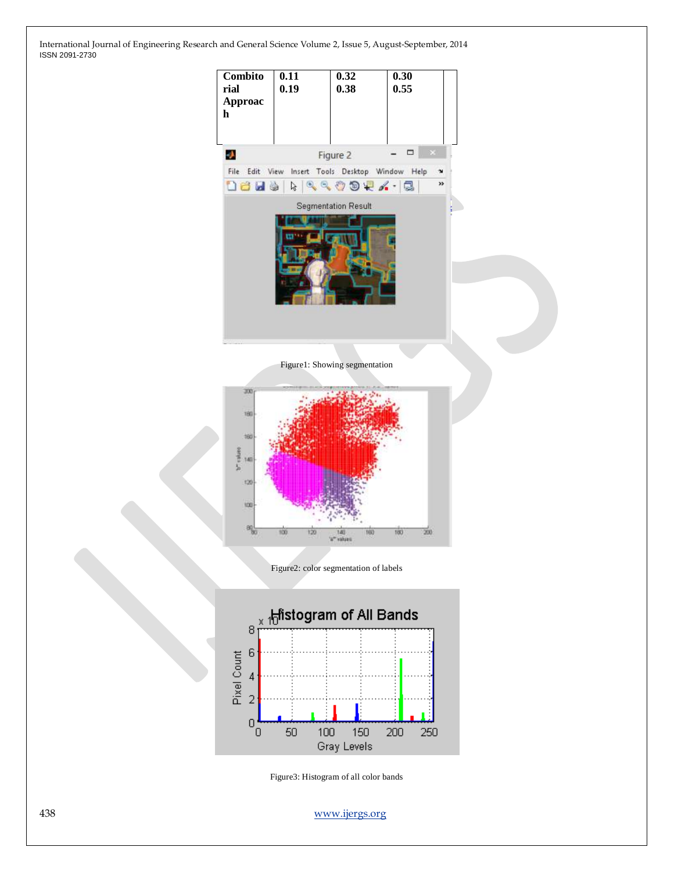100

8Ŋ





 $100$ 

 $\overline{200}$ 



Figure3: Histogram of all color bands

438 [www.ijergs.org](http://www.ijergs.org/)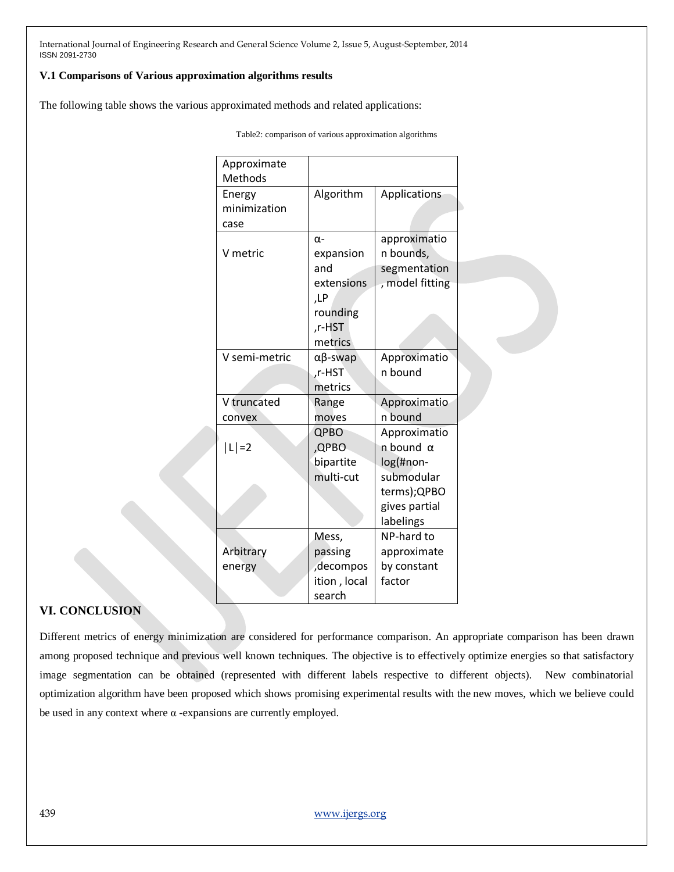### **V.1 Comparisons of Various approximation algorithms results**

The following table shows the various approximated methods and related applications:

| Approximate   |                     |                 |
|---------------|---------------------|-----------------|
| Methods       |                     |                 |
| Energy        | Algorithm           | Applications    |
| minimization  |                     |                 |
| case          |                     |                 |
|               | $\alpha$ -          | approximatio    |
| V metric      | expansion           | n bounds,       |
|               | and                 | segmentation    |
|               | extensions          | , model fitting |
|               | .LP                 |                 |
|               | rounding            |                 |
|               | r-HST,              |                 |
|               | metrics             |                 |
| V semi-metric | $\alpha\beta$ -swap | Approximatio    |
|               | r-HST,              | n bound         |
|               | metrics             |                 |
| V truncated   | Range               | Approximatio    |
| convex        | moves               | n bound         |
|               | <b>QPBO</b>         | Approximatio    |
| $ L =2$       | ,QPBO               | n bound a       |
|               | bipartite           | log(#non-       |
|               | multi-cut           | submodular      |
|               |                     | terms); QPBO    |
|               |                     | gives partial   |
|               |                     | labelings       |
|               | Mess,               | NP-hard to      |
| Arbitrary     | passing             | approximate     |
| energy        | ,decompos           | by constant     |
|               | ition, local        | factor          |
|               | search              |                 |

Table2: comparison of various approximation algorithms

# **VI. CONCLUSION**

Different metrics of energy minimization are considered for performance comparison. An appropriate comparison has been drawn among proposed technique and previous well known techniques. The objective is to effectively optimize energies so that satisfactory image segmentation can be obtained (represented with different labels respective to different objects). New combinatorial optimization algorithm have been proposed which shows promising experimental results with the new moves, which we believe could be used in any context where  $\alpha$  -expansions are currently employed.